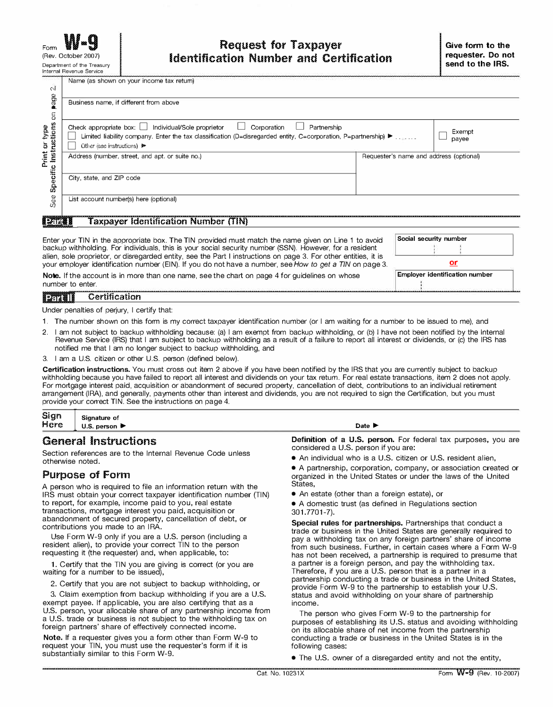Name (as shown on your income tax return)

| CM.                                                   |                                                                                                                                                                                                                                        |                                         |                 |  |  |
|-------------------------------------------------------|----------------------------------------------------------------------------------------------------------------------------------------------------------------------------------------------------------------------------------------|-----------------------------------------|-----------------|--|--|
| <b>Lage</b><br>Business name, if different from above |                                                                                                                                                                                                                                        |                                         |                 |  |  |
| S                                                     |                                                                                                                                                                                                                                        |                                         |                 |  |  |
| cns<br>type                                           | Check appropriate box: $\Box$ Individual/Sole proprietor<br>Corporation<br>$\Box$<br>Partnership<br>Limited liability company. Enter the tax classification (D=disregarded entity, C=corporation, P=partnership) $\blacktriangleright$ |                                         | Exempt<br>payee |  |  |
| $\ddot{\circ}$                                        | Other isee instructions)                                                                                                                                                                                                               |                                         |                 |  |  |
| Print<br>Ë                                            | Address (number, street, and apt. or suite no.)                                                                                                                                                                                        | Requester's name and address (optional) |                 |  |  |
| Specific                                              | City, state, and ZIP code                                                                                                                                                                                                              |                                         |                 |  |  |
| See                                                   | List account number(s) here (optional)                                                                                                                                                                                                 |                                         |                 |  |  |
|                                                       | <b>Taxpayer Identification Number (TIN)</b>                                                                                                                                                                                            |                                         |                 |  |  |

Enter your TIN in the appropriate box. The TIN provided must match the name given on Line 1 to avoid **Social security number** backup withholding. For individuals, this is your social security number (SSN). However, for a resident alien, sole proprietor, or disregarded entity, see the Part I instructions on page 3. For other entities, it is your employer identification number (EIN). If you do not have a number, see *How to get* a *TIN* on page 3. **or**

**Note.** If the account is in more than one name, see the chart on page 4 for guidelines on whose **Employer identification number** number to enter.

#### EATH **Certification**

Under penalties of perjury, I certify that:

- 1 . The number shown on this form is my correct taxpayer identification number (or I am waiting for a number to be issued to me), and
- 2. I am not subject to backup withholding because: (a) I am exempt from backup withholding, or (b) I have not been notified by the Internal Revenue Service (IRS) that I am subject to backup withholding as a result of a failure to report all interest or dividends, or (c) the IRS has notified me that I am no longer subject to backup withholding, and
- 3. I am a U.S. citizen or other U.S. person (defined below).

**Certification instructions.** You must cross out item 2 above if you have been notified by the IRS that you are currently subject to backup withholding because you have failed to report all interest and dividends on your tax return. For real estate transactions, item 2 does not apply. For mortgage interest paid, acquisition or abandonment of secured property, cancellation of debt, contributions to an individual retirement arrangement (IRA), and generally, payments other than interest and dividends, you are not required to sign the Certification, but you must provide your cor<sup>r</sup>ect TIN. See the instructions on page 4.

|      | Computed Inviting them            | Definition of a U.S. person. For federal tax nurnoses, you are |
|------|-----------------------------------|----------------------------------------------------------------|
| Here | U.S. person $\blacktriangleright$ | Date l                                                         |
| Sign | Signature of                      |                                                                |

## **General Instructions**

Section references are to the Internal Revenue Code unless otherwise noted.

# **Purpose of Form**

A person who is required to file an information return with the IRS must obtain your correct taxpayer identification number (TIN) to report, for example, income paid to you, real estate transactions, mortgage interest you paid, acquisition or abandonment of secured property, cancellation of debt, or contributions you made to an IRA.

Use Form W-9 only if you are a U.S. person (including a resident alien), to provide your correct TIN to the person requesting it (the requester) and, when applicable, to:

**1.** Certify that the TIN you are giving is correct (or you are waiting for a number to be issued),

2. Certify that you are not subject to backup withholding, or

3. Claim exemption from backup withholding if you are a U.S. exempt payee. If applicable, you are also certifying that as a U.S. person, your allocable share of any partnership income from a U.S. trade or business is not subject to the withholding tax on foreign partners' share of effectively connected income.

**Note.** If a requester gives you a form other than Form W-9 to request your TIN, you must use the requester's form if it is substantially similar to this Form W-9.

**Definition of a U.S. person.** For federal tax purposes, you are considered a U.S. person if you are:

• An individual who is a U.S. citizen or U.S. resident alien,

• A partnership, corporation, company, or association created or organized in the United States or under the laws of the United States,

• An estate (other than a foreign estate), or

• A domestic trust (as defined in Regulations section 301.7701-7).

**Special rules for partnerships.** Partnerships that conduct a trade or business in the United States are generally required to pay a withholding tax on any foreign partners' share of income from such business. Further, in certain cases where a Form W-9 has not been received, a partnership is required to presume that a partner is a foreign person, and pay the withholding tax. Therefore, if you are a U.S. person that is a partner in a partnership conducting a trade or business in the United States, provide Form W-9 to the partnership to establish your U.S. status and avoid withholding on your share of partnership income.

The person who gives Form W-9 to the partnership for purposes of establishing its U.S. status and avoiding withholding on its allocable share of net income from the partnership conducting a trade or business in the United States is in the following cases:

• The U.S. owner of a disregarded entity and not the entity,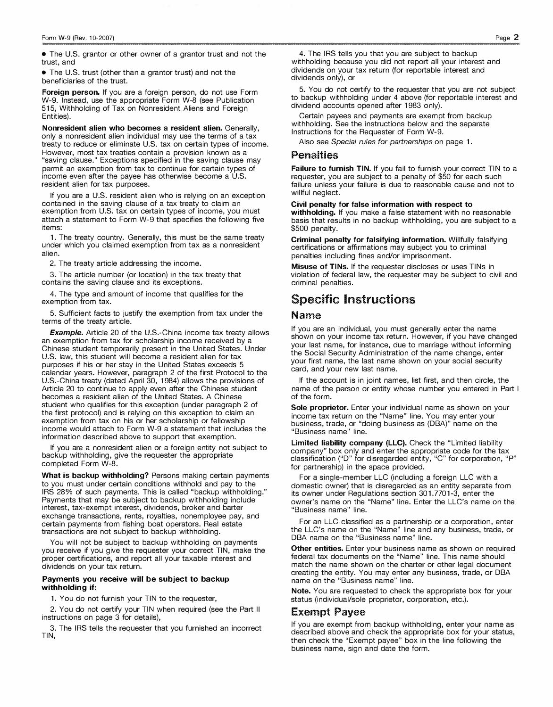• The U.S. grantor or other owner of a grantor trust and not the trust, and

• The U.S. trust (other than a grantor trust) and not the beneficiaries of the trust.

**Foreign person.** If you are a foreign person, do not use Form W-9. Instead, use the appropriate Form W-8 (see Publication 515, Withholding of Tax on Nonresident Aliens and Foreign Entities).

**Nonresident alien who becomes a resident alien.** Generally, only a nonresident alien individual may use the terms of a tax treaty to reduce or eliminate U.S. tax on certain types of income. However, most tax treaties contain a provision known as a "saving clause." Exceptions specified in the saving clause may permit an exemption from tax to continue for certain types of income even after the payee has otherwise become a U.S. resident alien for tax purposes.

If you are a U.S. resident alien who is relying on an exception contained in the saving clause of a tax treaty to claim an exemption from U.S. tax on certain types of income, you must attach a statement to Form W-9 that specifies the following five items:

1. The treaty country. Generally, this must be the same treaty under which you claimed exemption from tax as a nonresident alien.

2. The treaty article addressing the income.

3. The article number (or location) in the tax treaty that contains the saving clause and its exceptions.

4. The type and amount of income that qualifies for the exemption from tax.

5. Sufficient facts to justify the exemption from tax under the terms of the treaty article.

*Example.* Article 20 of the U.S.-China income tax treaty allows an exemption from tax for scholarship income received by a Chinese student temporarily present in the United States. Under U.S. law, this student will become a resident alien for tax purposes if his or her stay in the United States exceeds 5 calendar years. However, paragraph 2 of the first Protocol to the U.S.-China treaty (dated April 30, 1984) allows the provisions of Article 20 to continue to apply even after the Chinese student becomes a resident alien of the United States. A Chinese student who qualifies for this exception (under paragraph 2 of the first protocol) and is relying on this exception to claim an exemption from tax on his or her scholarship or fellowship income would attach to Form W-9 a statement that includes the information described above to support that exemption.

If you are a nonresident alien or a foreign entity not subject to backup withholding, give the requester the appropriate completed Form W-8.

**What is backup withholding?** Persons making certain payments to you must under certain conditions withhold and pay to the IRS 28% of such payments. This is called "backup withholding." Payments that may be subject to backup withholding include interest, tax-exempt interest, dividends, broker and barter exchange transactions, rents, royalties, nonemployee pay, and certain payments from fishing boat operators. Real estate transactions are not subject to backup withholding.

You will not be subject to backup withholding on payments you receive if you give the requester your correct TIN, make the proper certifications, and report all your taxable interest and dividends on your tax return.

#### **Payments you receive will be subject to backup withholding if:**

1. You do not furnish your TIN to the requester,

2. You do not certify your TIN when required (see the Part II instructions on page 3 for details),

3. The IRS tells the requester that you furnished an incorrect TIN,

4. The IRS tells you that you are subject to backup withholding because you did not report all your interest and dividends on your tax return (for reportable interest and dividends only), or

5. You do not certify to the requester that you are not subject to backup withholding under 4 above (for reportable interest and dividend accounts opened after 1983 only).

Certain payees and payments are exempt from backup withholding. See the instructions below and the separate Instructions for the Requester of Form W-9.

Also see *Special rules for partnerships* on page 1.

### **Penalties**

Failure to furnish TIN. If you fail to furnish your correct TIN to a requester, you are subject to a penalty of \$50 for each such failure unless your failure is due to reasonable cause and not to willful neglect.

#### **Civil penalty for false information with respect to**

**withholding.** If you make a false statement with no reasonable basis that results in no backup withholding, you are subject to a \$500 penalty.

**Criminal penalty for falsifying information.** Willfully falsifying certifications or affirmations may subject you to criminal penalties including fines and/or imprisonment.

**Misuse of TINs.** If the requester discloses or uses TINs in violation of federal law, the requester may be subject to civil and criminal penalties.

# **Specific Instructions**

#### **Name**

If you are an individual, you must generally enter the name shown on your income tax return. However, if you have changed your last name, for instance, due to marriage without informing the Social Security Administration of the name change, enter your first name, the last name shown on your social security card, and your new last name.

If the account is in joint names, list first, and then circle, the name of the person or entity whose number you entered in Part I of the form.

**Sole proprietor.** Enter your individual name as shown on your income tax return on the "Name" line. You may enter your business, trade, or "doing business as (OBA)" name on the "Business name" line.

**Limited liability company (LLC).** Check the "Limited liability company" box only and enter the appropriate code for the tax classification ("O" for disregarded entity, "C" for corporation, "P" for partnership) in the space provided.

For a single-member LLC (including a foreign LLC with a domestic owner) that is disregarded as an entity separate from its owner under Regulations section 301.7701-3, enter the owner's name on the "Name" line. Enter the LLC's name on the "Business name" line.

For an LLC classified as a partnership or a corporation, enter the LLC's name on the "Name" line and any business, trade, or OBA name on the "Business name" line.

**Other entities.** Enter your business name as shown on required federal tax documents on the "Name" line. This name should match the name shown on the charter or other legal document creating the entity. You may enter any business, trade, or OBA name on the "Business name" line.

**Note.** You are requested to check the appropriate box for your status (individual/sole proprietor, corporation, etc.).

#### **Exempt Payee**

If you are exempt from backup withholding, enter your name as described above and check the appropriate box for your status, then check the "Exempt payee" box in the line following the business name, sign and date the form.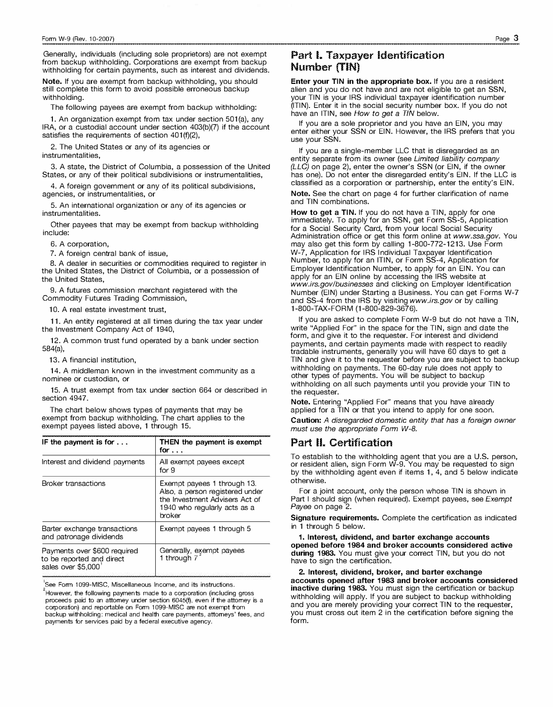Generally, individuals (including sole proprietors) are not exempt from backup withholding. Corporations are exempt from backup withholding for certain payments, such as interest and dividends.

**Note.** If you are exempt from backup withholding, you should still complete this form to avoid possible erroneous backup withholding.

The following payees are exempt from backup withholding:

1. An organization exempt from tax under section 501(a), any IRA, or a custodial account under section 403(b)(7) if the account satisfies the requirements of section 401(f)(2)

2. The United States or any of its agencies or instrumentalities,

3. A state, the District of Columbia, a possession of the United States, or any of their political subdivisions or instrumentalities,

4. A foreign government or any of its political subdivisions, agencies, or instrumentalities, or

5. An international organization or any of its agencies or instrumentalities.

Other payees that may be exempt from backup withholding include:

6. A corporation,

7. A foreign central bank of issue,

8. A dealer in securities or commodities required to register in the United States, the District of Columbia, or a possession of the United States,

9. A futures commission merchant registered with the Commodity Futures Trading Commission,

10. A real estate investment trust,

11. An entity registered at all times during the tax year under the Investment Company Act of 1940,

12. A common trust fund operated by a bank under section 584(a),

13. A financial institution,

14. A middleman known in the investment community as a nominee or custodian, or

15. A trust exempt from tax under section 664 or described in section 4947.

The chart below shows types of payments that may be exempt from backup withholding. The chart applies to the exempt payees listed above, 1 through 15.

| IF the payment is for $\dots$                                                   | THEN the payment is exempt<br>for $\ldots$                                                                                                 |
|---------------------------------------------------------------------------------|--------------------------------------------------------------------------------------------------------------------------------------------|
| Interest and dividend payments                                                  | All exempt payees except<br>for 9                                                                                                          |
| <b>Broker transactions</b>                                                      | Exempt payees 1 through 13.<br>Also, a person registered under<br>the Investment Advisers Act of<br>1940 who regularly acts as a<br>broker |
| Barter exchange transactions<br>and patronage dividends                         | Exempt payees 1 through 5                                                                                                                  |
| Payments over \$600 required<br>to be reported and direct<br>sales over \$5,000 | Generally, exempt payees<br>1 through 7                                                                                                    |

'see Fonn 1099-MISC, Miscellaneous Income, and its instructions.

2 However, the following payments made to a corporation (including gross proceeds paid to an attorney under section 6045(f), even if the attorney is a corporation) and reportable on Form 1099-MISC are not exempt from backup withholding: medical and health care payments, attorneys' fees, and payments for services paid by a federal executive agency.

# **Part I. Taxpayer Identification Number (TIN)**

**Enter your TIN in the appropriate box.** If you are a resident alien and you do not have and are not eligible to get an SSN, your TIN is your IRS individual taxpayer identification number (ITIN). Enter it in the social security number box. If you do not have an ITIN, see *How to get* a *TIN* below.

If you are a sole proprietor and you have an EIN, you may enter either your SSN or EIN. However, the IRS prefers that you use your SSN.

If you are a single-member LLC that is disregarded as an entity separate from its owner (see *Limited liability company (LLC)* on page 2), enter the owner's SSN (or EIN, if the owner has one). Do not enter the disregarded entity's EIN. If the LLC is classified as a corporation or partnership, enter the entity's EIN. **Note.** See the chart on page 4 for further clarification of name

and TIN combinations.

**How to get a TIN.** If you do not have a TIN, apply for one immediately. To apply for an SSN, get Form SS-5, Application for a Social Security Card, from your local Social Security Administration office or get this form online at *www.ssa.gov.* You may also get this form by calling 1-800-772-1213. Use Form W-7, Application for IRS Individual Taxpayer Identification Number, to apply for an ITIN, or Form SS-4, Application for Employer Identification Number, to apply for an EIN. You can apply for an EIN online by accessing the IRS website at *www.irs.gov/businesses* and clicking on Employer Identification Number (EIN) under Starting a Business. You can get Forms W-7 and SS-4 from the IRS by visiting *www.irs.gov* or by calling 1-800-TAX-FORM (1-800-829-3676).

If you are asked to complete Form W-9 but do not have a TIN, write "Applied For" in the space for the TIN, sign and date the form, and give it to the requester. For interest and dividend payments, and certain payments made with respect to readily tradable instruments, generally you will have 60 days to get a TIN and give it to the requester before you are subject to backup withholding on payments. The 60-day rule does not apply to other types of payments. You will be subject to backup withholding on all such payments until you provide your TIN to the requester.

**Note.** Entering "Applied For" means that you have already applied for a TIN or that you intend to apply for one soon.

**Caution:** *A disregarded domestic entity that* has a *foreign owner must* use *the appropriate Fonn W-8.* 

#### **Part II. Certification**

To establish to the withholding agent that you are a U.S. person, or resident alien, sign Form W-9. You may be requested to sign by the withholding agent even if items 1, 4, and 5 below indicate otherwise.

For a joint account, only the person whose TIN is shown in Part I should sign (when required). Exempt payees, see *Exempt Payee* on page 2.

**Signature requirements.** Complete the certification as indicated in 1 through 5 below.

**1. Interest, dividend, and barter exchange accounts opened before 1984 and broker accounts considered active during 1983.** You must give your correct TIN, but you do not have to sign the certification.

**2. Interest, dividend, broker, and barter exchange accounts opened after 1983 and broker accounts considered inactive during 1983.** You must sign the certification or backup withholding will apply. If you are subject to backup withholding and you are merely providing your correct TIN to the requester, you must cross out item 2 in the certification before signing the form.